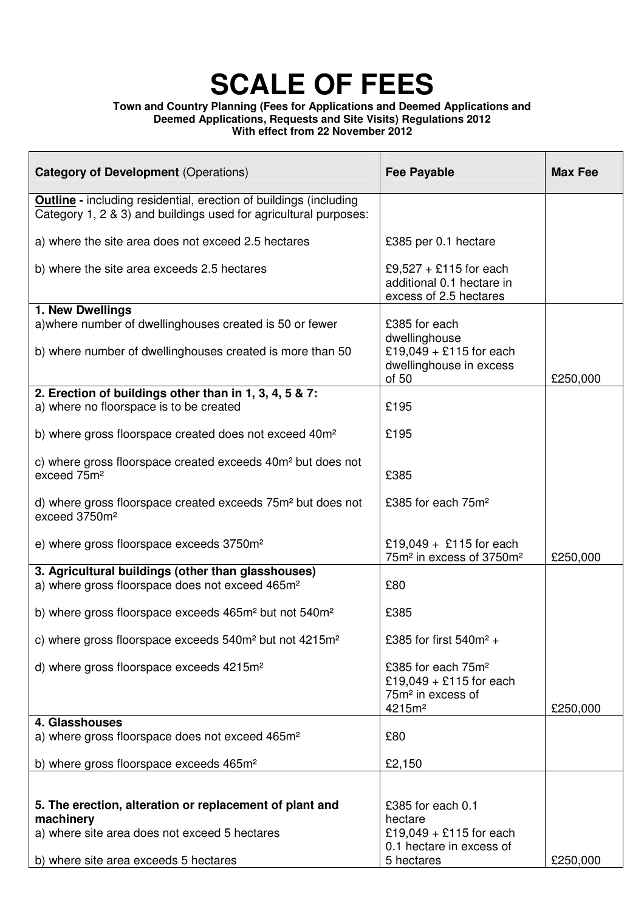#### **Town and Country Planning (Fees for Applications and Deemed Applications and Deemed Applications, Requests and Site Visits) Regulations 2012 With effect from 22 November 2012**

| <b>Category of Development (Operations)</b>                                                                                                  | <b>Fee Payable</b>                                                                                                 | <b>Max Fee</b> |
|----------------------------------------------------------------------------------------------------------------------------------------------|--------------------------------------------------------------------------------------------------------------------|----------------|
| <b>Outline</b> - including residential, erection of buildings (including<br>Category 1, 2 & 3) and buildings used for agricultural purposes: |                                                                                                                    |                |
| a) where the site area does not exceed 2.5 hectares                                                                                          | £385 per 0.1 hectare                                                                                               |                |
| b) where the site area exceeds 2.5 hectares                                                                                                  | £9,527 + £115 for each<br>additional 0.1 hectare in<br>excess of 2.5 hectares                                      |                |
| 1. New Dwellings<br>a) where number of dwellinghouses created is 50 or fewer<br>b) where number of dwellinghouses created is more than 50    | £385 for each<br>dwellinghouse<br>£19,049 + £115 for each<br>dwellinghouse in excess                               |                |
|                                                                                                                                              | of 50                                                                                                              | £250,000       |
| 2. Erection of buildings other than in 1, 3, 4, 5 & 7:<br>a) where no floorspace is to be created                                            | £195                                                                                                               |                |
| b) where gross floorspace created does not exceed 40m <sup>2</sup>                                                                           | £195                                                                                                               |                |
| c) where gross floorspace created exceeds 40m <sup>2</sup> but does not<br>exceed 75m <sup>2</sup>                                           | £385                                                                                                               |                |
| d) where gross floorspace created exceeds 75m <sup>2</sup> but does not<br>exceed 3750m <sup>2</sup>                                         | £385 for each 75m <sup>2</sup>                                                                                     |                |
| e) where gross floorspace exceeds 3750m <sup>2</sup>                                                                                         | £19,049 + £115 for each<br>75m <sup>2</sup> in excess of 3750m <sup>2</sup>                                        | £250,000       |
| 3. Agricultural buildings (other than glasshouses)<br>a) where gross floorspace does not exceed 465m <sup>2</sup>                            | £80                                                                                                                |                |
| b) where gross floorspace exceeds 465m <sup>2</sup> but not 540m <sup>2</sup>                                                                | £385                                                                                                               |                |
| c) where gross floorspace exceeds 540m <sup>2</sup> but not 4215m <sup>2</sup>                                                               | £385 for first 540m <sup>2</sup> +                                                                                 |                |
| d) where gross floorspace exceeds 4215m <sup>2</sup>                                                                                         | £385 for each 75m <sup>2</sup><br>$£19,049 + £115$ for each<br>75m <sup>2</sup> in excess of<br>4215m <sup>2</sup> | £250,000       |
| 4. Glasshouses                                                                                                                               |                                                                                                                    |                |
| a) where gross floorspace does not exceed 465m <sup>2</sup>                                                                                  | £80                                                                                                                |                |
| b) where gross floorspace exceeds 465m <sup>2</sup>                                                                                          | £2,150                                                                                                             |                |
| 5. The erection, alteration or replacement of plant and<br>machinery<br>a) where site area does not exceed 5 hectares                        | £385 for each 0.1<br>hectare<br>£19,049 + £115 for each<br>0.1 hectare in excess of                                |                |
| b) where site area exceeds 5 hectares                                                                                                        | 5 hectares                                                                                                         | £250,000       |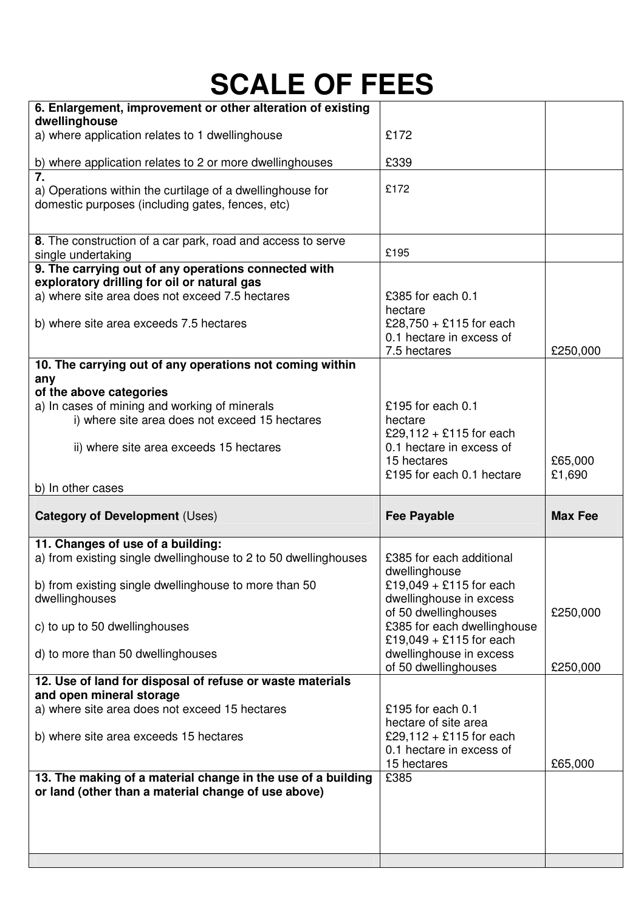| 6. Enlargement, improvement or other alteration of existing                                         |                                                     |                |
|-----------------------------------------------------------------------------------------------------|-----------------------------------------------------|----------------|
| dwellinghouse<br>a) where application relates to 1 dwellinghouse                                    | £172                                                |                |
|                                                                                                     |                                                     |                |
| b) where application relates to 2 or more dwellinghouses                                            | £339                                                |                |
| $\overline{7}$ .<br>a) Operations within the curtilage of a dwellinghouse for                       | £172                                                |                |
| domestic purposes (including gates, fences, etc)                                                    |                                                     |                |
|                                                                                                     |                                                     |                |
| 8. The construction of a car park, road and access to serve                                         |                                                     |                |
| single undertaking                                                                                  | £195                                                |                |
| 9. The carrying out of any operations connected with<br>exploratory drilling for oil or natural gas |                                                     |                |
| a) where site area does not exceed 7.5 hectares                                                     | £385 for each 0.1                                   |                |
|                                                                                                     | hectare                                             |                |
| b) where site area exceeds 7.5 hectares                                                             | £28,750 + £115 for each<br>0.1 hectare in excess of |                |
|                                                                                                     | 7.5 hectares                                        | £250,000       |
| 10. The carrying out of any operations not coming within                                            |                                                     |                |
| any<br>of the above categories                                                                      |                                                     |                |
| a) In cases of mining and working of minerals                                                       | £195 for each $0.1$                                 |                |
| i) where site area does not exceed 15 hectares                                                      | hectare                                             |                |
|                                                                                                     | £29,112 + £115 for each                             |                |
| ii) where site area exceeds 15 hectares                                                             | 0.1 hectare in excess of<br>15 hectares             | £65,000        |
|                                                                                                     | £195 for each 0.1 hectare                           | £1,690         |
|                                                                                                     |                                                     |                |
| b) In other cases                                                                                   |                                                     |                |
| <b>Category of Development (Uses)</b>                                                               | <b>Fee Payable</b>                                  | <b>Max Fee</b> |
|                                                                                                     |                                                     |                |
| 11. Changes of use of a building:                                                                   | £385 for each additional                            |                |
| a) from existing single dwellinghouse to 2 to 50 dwellinghouses                                     | dwellinghouse                                       |                |
| b) from existing single dwellinghouse to more than 50                                               | £19,049 + £115 for each                             |                |
| dwellinghouses                                                                                      | dwellinghouse in excess                             |                |
| c) to up to 50 dwellinghouses                                                                       | of 50 dwellinghouses<br>£385 for each dwellinghouse | £250,000       |
|                                                                                                     | £19,049 + £115 for each                             |                |
| d) to more than 50 dwellinghouses                                                                   | dwellinghouse in excess                             |                |
| 12. Use of land for disposal of refuse or waste materials                                           | of 50 dwellinghouses                                | £250,000       |
| and open mineral storage                                                                            |                                                     |                |
| a) where site area does not exceed 15 hectares                                                      | £195 for each $0.1$                                 |                |
|                                                                                                     | hectare of site area<br>£29,112 + £115 for each     |                |
| b) where site area exceeds 15 hectares                                                              | 0.1 hectare in excess of                            |                |
|                                                                                                     | 15 hectares                                         | £65,000        |
| 13. The making of a material change in the use of a building                                        | £385                                                |                |
| or land (other than a material change of use above)                                                 |                                                     |                |
|                                                                                                     |                                                     |                |
|                                                                                                     |                                                     |                |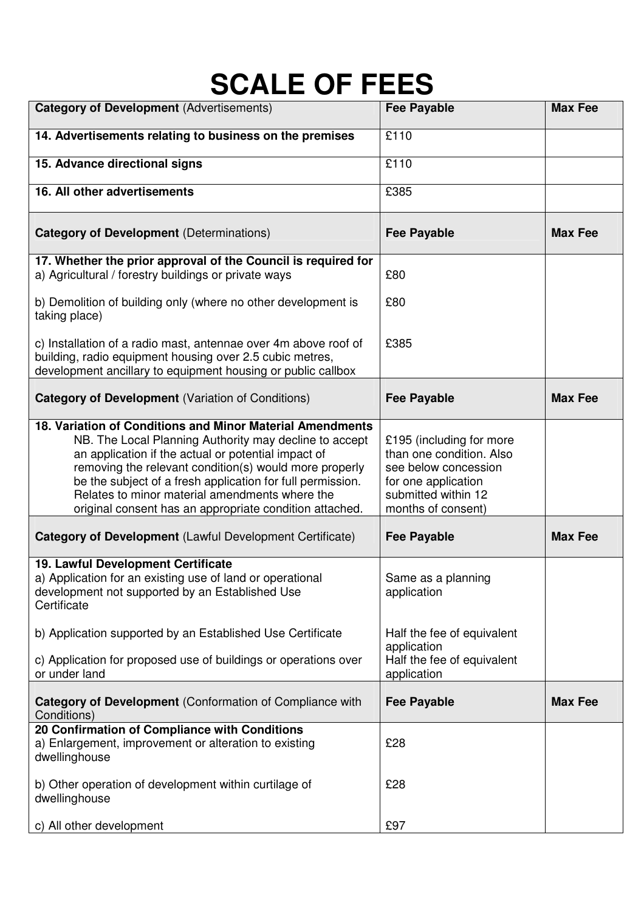| <b>Category of Development (Advertisements)</b>                                                                                                                                                                                                                                                                                                                                                                 | <b>Fee Payable</b>                                                                                                                               | <b>Max Fee</b> |
|-----------------------------------------------------------------------------------------------------------------------------------------------------------------------------------------------------------------------------------------------------------------------------------------------------------------------------------------------------------------------------------------------------------------|--------------------------------------------------------------------------------------------------------------------------------------------------|----------------|
| 14. Advertisements relating to business on the premises                                                                                                                                                                                                                                                                                                                                                         | £110                                                                                                                                             |                |
| 15. Advance directional signs                                                                                                                                                                                                                                                                                                                                                                                   | £110                                                                                                                                             |                |
| 16. All other advertisements                                                                                                                                                                                                                                                                                                                                                                                    | £385                                                                                                                                             |                |
| <b>Category of Development (Determinations)</b>                                                                                                                                                                                                                                                                                                                                                                 | <b>Fee Payable</b>                                                                                                                               | <b>Max Fee</b> |
| 17. Whether the prior approval of the Council is required for<br>a) Agricultural / forestry buildings or private ways                                                                                                                                                                                                                                                                                           | £80                                                                                                                                              |                |
| b) Demolition of building only (where no other development is<br>taking place)                                                                                                                                                                                                                                                                                                                                  | £80                                                                                                                                              |                |
| c) Installation of a radio mast, antennae over 4m above roof of<br>building, radio equipment housing over 2.5 cubic metres,<br>development ancillary to equipment housing or public callbox                                                                                                                                                                                                                     | £385                                                                                                                                             |                |
| <b>Category of Development (Variation of Conditions)</b>                                                                                                                                                                                                                                                                                                                                                        | <b>Fee Payable</b>                                                                                                                               | <b>Max Fee</b> |
| 18. Variation of Conditions and Minor Material Amendments<br>NB. The Local Planning Authority may decline to accept<br>an application if the actual or potential impact of<br>removing the relevant condition(s) would more properly<br>be the subject of a fresh application for full permission.<br>Relates to minor material amendments where the<br>original consent has an appropriate condition attached. | £195 (including for more<br>than one condition. Also<br>see below concession<br>for one application<br>submitted within 12<br>months of consent) |                |
| Category of Development (Lawful Development Certificate)                                                                                                                                                                                                                                                                                                                                                        | <b>Fee Payable</b>                                                                                                                               | <b>Max Fee</b> |
| 19. Lawful Development Certificate<br>a) Application for an existing use of land or operational<br>development not supported by an Established Use<br>Certificate                                                                                                                                                                                                                                               | Same as a planning<br>application                                                                                                                |                |
| b) Application supported by an Established Use Certificate                                                                                                                                                                                                                                                                                                                                                      | Half the fee of equivalent<br>application                                                                                                        |                |
| c) Application for proposed use of buildings or operations over<br>or under land                                                                                                                                                                                                                                                                                                                                | Half the fee of equivalent<br>application                                                                                                        |                |
| Category of Development (Conformation of Compliance with<br>Conditions)                                                                                                                                                                                                                                                                                                                                         | <b>Fee Payable</b>                                                                                                                               | <b>Max Fee</b> |
| 20 Confirmation of Compliance with Conditions<br>a) Enlargement, improvement or alteration to existing<br>dwellinghouse                                                                                                                                                                                                                                                                                         | £28                                                                                                                                              |                |
| b) Other operation of development within curtilage of<br>dwellinghouse                                                                                                                                                                                                                                                                                                                                          | £28                                                                                                                                              |                |
| c) All other development                                                                                                                                                                                                                                                                                                                                                                                        | £97                                                                                                                                              |                |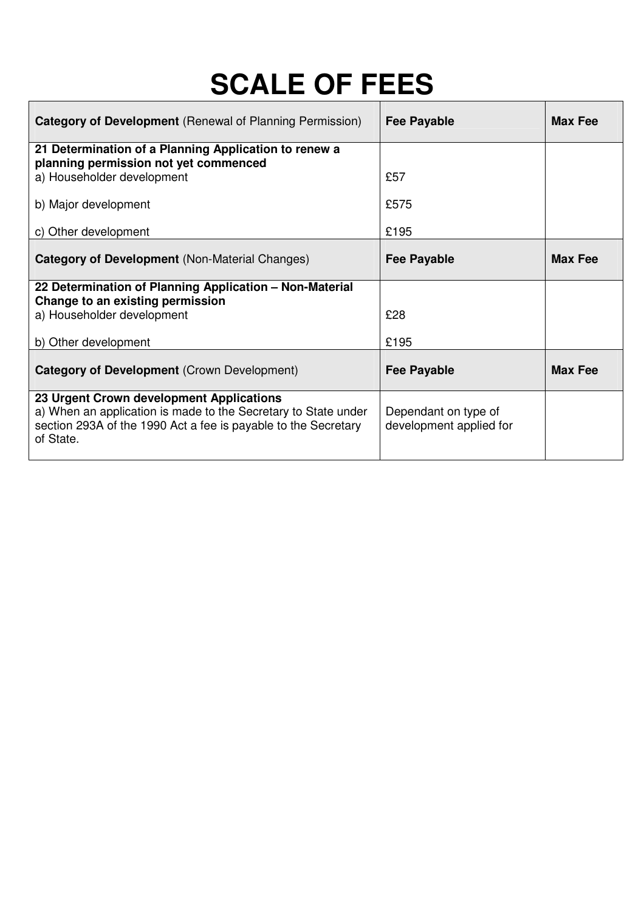| <b>Category of Development</b> (Renewal of Planning Permission)                                                                                                                           | <b>Fee Payable</b>                              | <b>Max Fee</b> |
|-------------------------------------------------------------------------------------------------------------------------------------------------------------------------------------------|-------------------------------------------------|----------------|
| 21 Determination of a Planning Application to renew a<br>planning permission not yet commenced                                                                                            |                                                 |                |
| a) Householder development                                                                                                                                                                | £57                                             |                |
| b) Major development                                                                                                                                                                      | £575                                            |                |
| c) Other development                                                                                                                                                                      | £195                                            |                |
| <b>Category of Development (Non-Material Changes)</b>                                                                                                                                     | <b>Fee Payable</b>                              | <b>Max Fee</b> |
| 22 Determination of Planning Application - Non-Material<br>Change to an existing permission                                                                                               |                                                 |                |
| a) Householder development                                                                                                                                                                | £28                                             |                |
| b) Other development                                                                                                                                                                      | £195                                            |                |
| Category of Development (Crown Development)                                                                                                                                               | <b>Fee Payable</b>                              | <b>Max Fee</b> |
| 23 Urgent Crown development Applications<br>a) When an application is made to the Secretary to State under<br>section 293A of the 1990 Act a fee is payable to the Secretary<br>of State. | Dependant on type of<br>development applied for |                |